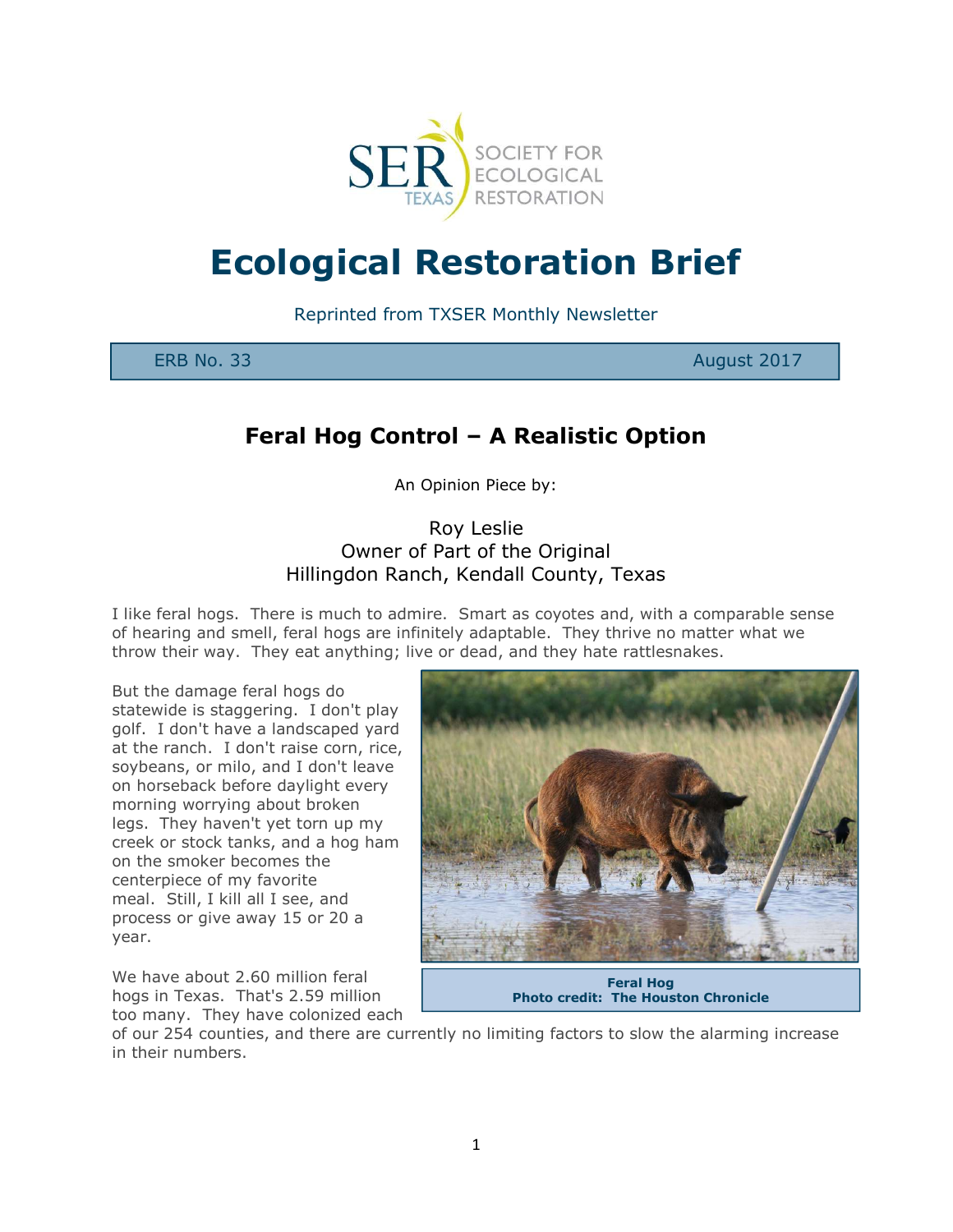

# Ecological Restoration Brief

Reprinted from TXSER Monthly Newsletter

ERB No. 33 August 2017

## Feral Hog Control – A Realistic Option

An Opinion Piece by:

### Roy Leslie Owner of Part of the Original Hillingdon Ranch, Kendall County, Texas

I like feral hogs. There is much to admire. Smart as coyotes and, with a comparable sense of hearing and smell, feral hogs are infinitely adaptable. They thrive no matter what we throw their way. They eat anything; live or dead, and they hate rattlesnakes.

But the damage feral hogs do statewide is staggering. I don't play golf. I don't have a landscaped yard at the ranch. I don't raise corn, rice, soybeans, or milo, and I don't leave on horseback before daylight every morning worrying about broken legs. They haven't yet torn up my creek or stock tanks, and a hog ham on the smoker becomes the centerpiece of my favorite meal. Still, I kill all I see, and process or give away 15 or 20 a year.

We have about 2.60 million feral hogs in Texas. That's 2.59 million too many. They have colonized each



Feral Hog Photo credit: The Houston Chronicle

of our 254 counties, and there are currently no limiting factors to slow the alarming increase in their numbers.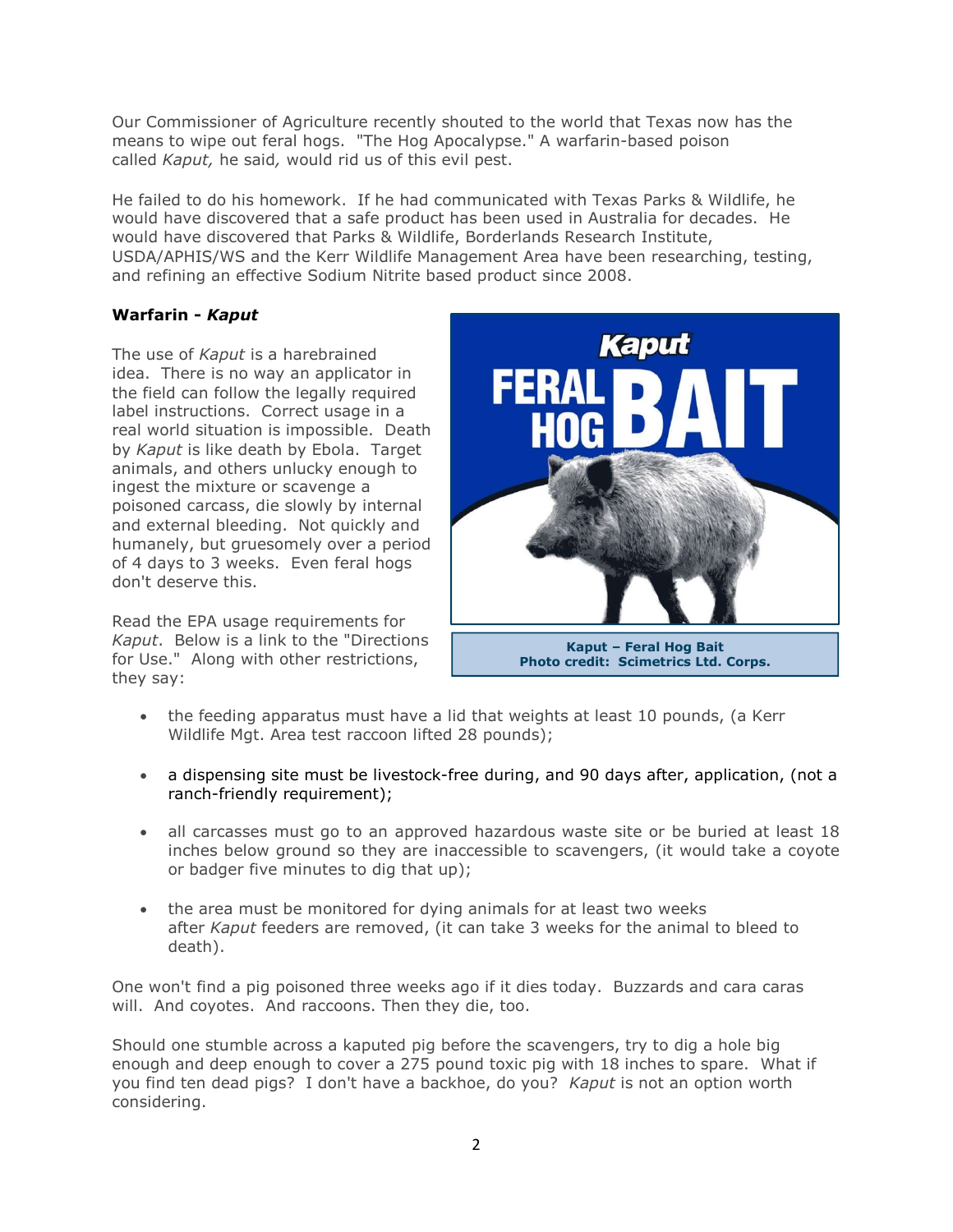Our Commissioner of Agriculture recently shouted to the world that Texas now has the means to wipe out feral hogs. "The Hog Apocalypse." A warfarin-based poison called Kaput, he said, would rid us of this evil pest.

He failed to do his homework. If he had communicated with Texas Parks & Wildlife, he would have discovered that a safe product has been used in Australia for decades. He would have discovered that Parks & Wildlife, Borderlands Research Institute, USDA/APHIS/WS and the Kerr Wildlife Management Area have been researching, testing, and refining an effective Sodium Nitrite based product since 2008.

#### Warfarin - Kaput

The use of Kaput is a harebrained idea. There is no way an applicator in the field can follow the legally required label instructions. Correct usage in a real world situation is impossible. Death by Kaput is like death by Ebola. Target animals, and others unlucky enough to ingest the mixture or scavenge a poisoned carcass, die slowly by internal and external bleeding. Not quickly and humanely, but gruesomely over a period of 4 days to 3 weeks. Even feral hogs don't deserve this.

Read the EPA usage requirements for Kaput. Below is a link to the "Directions for Use." Along with other restrictions, they say:



- the feeding apparatus must have a lid that weights at least 10 pounds, (a Kerr Wildlife Mgt. Area test raccoon lifted 28 pounds);
- a dispensing site must be livestock-free during, and 90 days after, application, (not a ranch-friendly requirement);
- all carcasses must go to an approved hazardous waste site or be buried at least 18 inches below ground so they are inaccessible to scavengers, (it would take a coyote or badger five minutes to dig that up);
- the area must be monitored for dying animals for at least two weeks after Kaput feeders are removed, (it can take 3 weeks for the animal to bleed to death).

One won't find a pig poisoned three weeks ago if it dies today. Buzzards and cara caras will. And coyotes. And raccoons. Then they die, too.

Should one stumble across a kaputed pig before the scavengers, try to dig a hole big enough and deep enough to cover a 275 pound toxic pig with 18 inches to spare. What if you find ten dead pigs? I don't have a backhoe, do you? Kaput is not an option worth considering.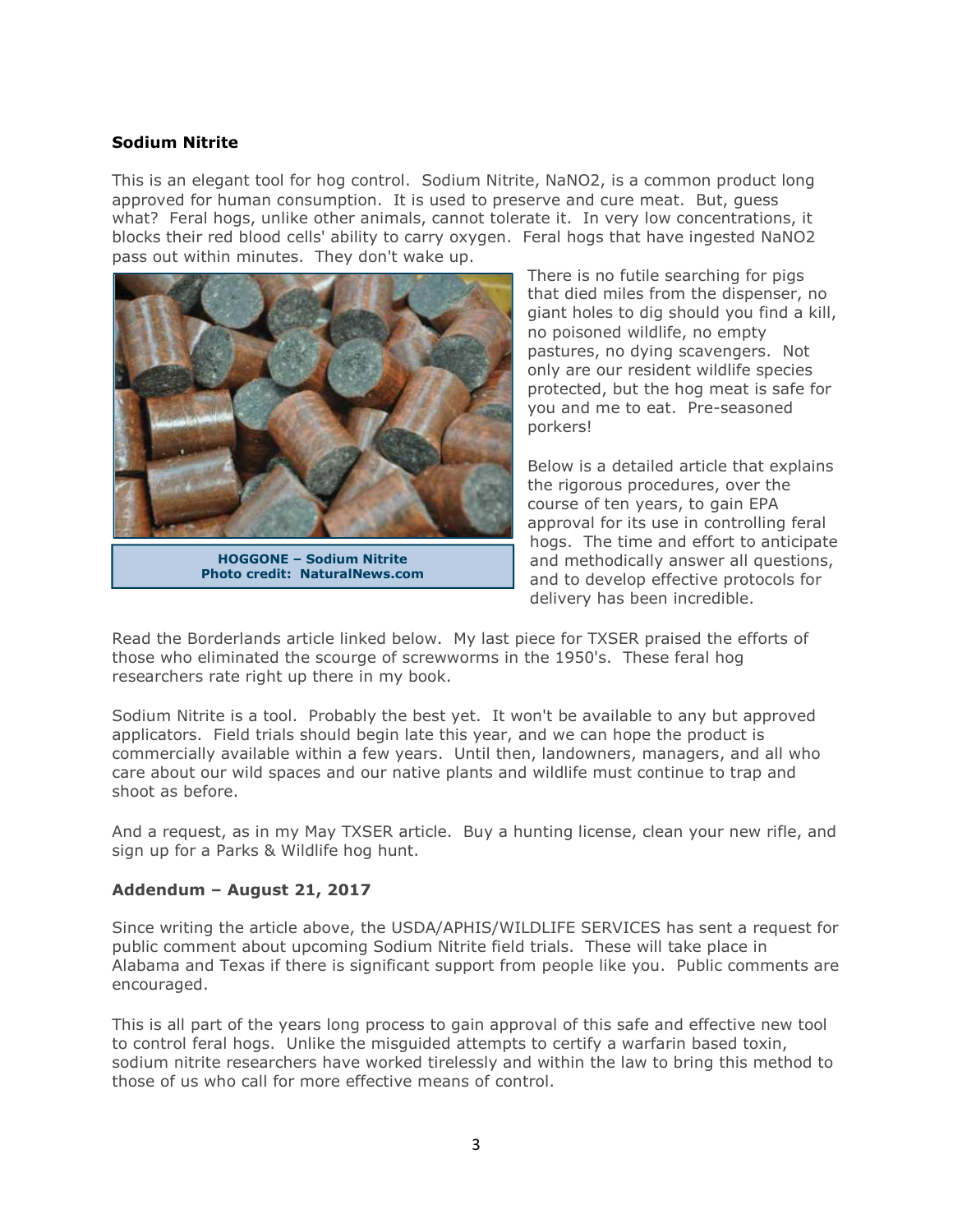#### Sodium Nitrite

This is an elegant tool for hog control. Sodium Nitrite, NaNO2, is a common product long approved for human consumption. It is used to preserve and cure meat. But, guess what? Feral hogs, unlike other animals, cannot tolerate it. In very low concentrations, it blocks their red blood cells' ability to carry oxygen. Feral hogs that have ingested NaNO2 pass out within minutes. They don't wake up.



HOGGONE – Sodium Nitrite Photo credit: NaturalNews.com

There is no futile searching for pigs that died miles from the dispenser, no giant holes to dig should you find a kill, no poisoned wildlife, no empty pastures, no dying scavengers. Not only are our resident wildlife species protected, but the hog meat is safe for you and me to eat. Pre-seasoned porkers!

Below is a detailed article that explains the rigorous procedures, over the course of ten years, to gain EPA approval for its use in controlling feral hogs. The time and effort to anticipate and methodically answer all questions, and to develop effective protocols for delivery has been incredible.

Read the Borderlands article linked below. My last piece for TXSER praised the efforts of those who eliminated the scourge of screwworms in the 1950's. These feral hog researchers rate right up there in my book.

Sodium Nitrite is a tool. Probably the best yet. It won't be available to any but approved applicators. Field trials should begin late this year, and we can hope the product is commercially available within a few years. Until then, landowners, managers, and all who care about our wild spaces and our native plants and wildlife must continue to trap and shoot as before.

And a request, as in my May TXSER article. Buy a hunting license, clean your new rifle, and sign up for a Parks & Wildlife hog hunt.

#### Addendum – August 21, 2017

Since writing the article above, the USDA/APHIS/WILDLIFE SERVICES has sent a request for public comment about upcoming Sodium Nitrite field trials. These will take place in Alabama and Texas if there is significant support from people like you. Public comments are encouraged.

This is all part of the years long process to gain approval of this safe and effective new tool to control feral hogs. Unlike the misguided attempts to certify a warfarin based toxin, sodium nitrite researchers have worked tirelessly and within the law to bring this method to those of us who call for more effective means of control.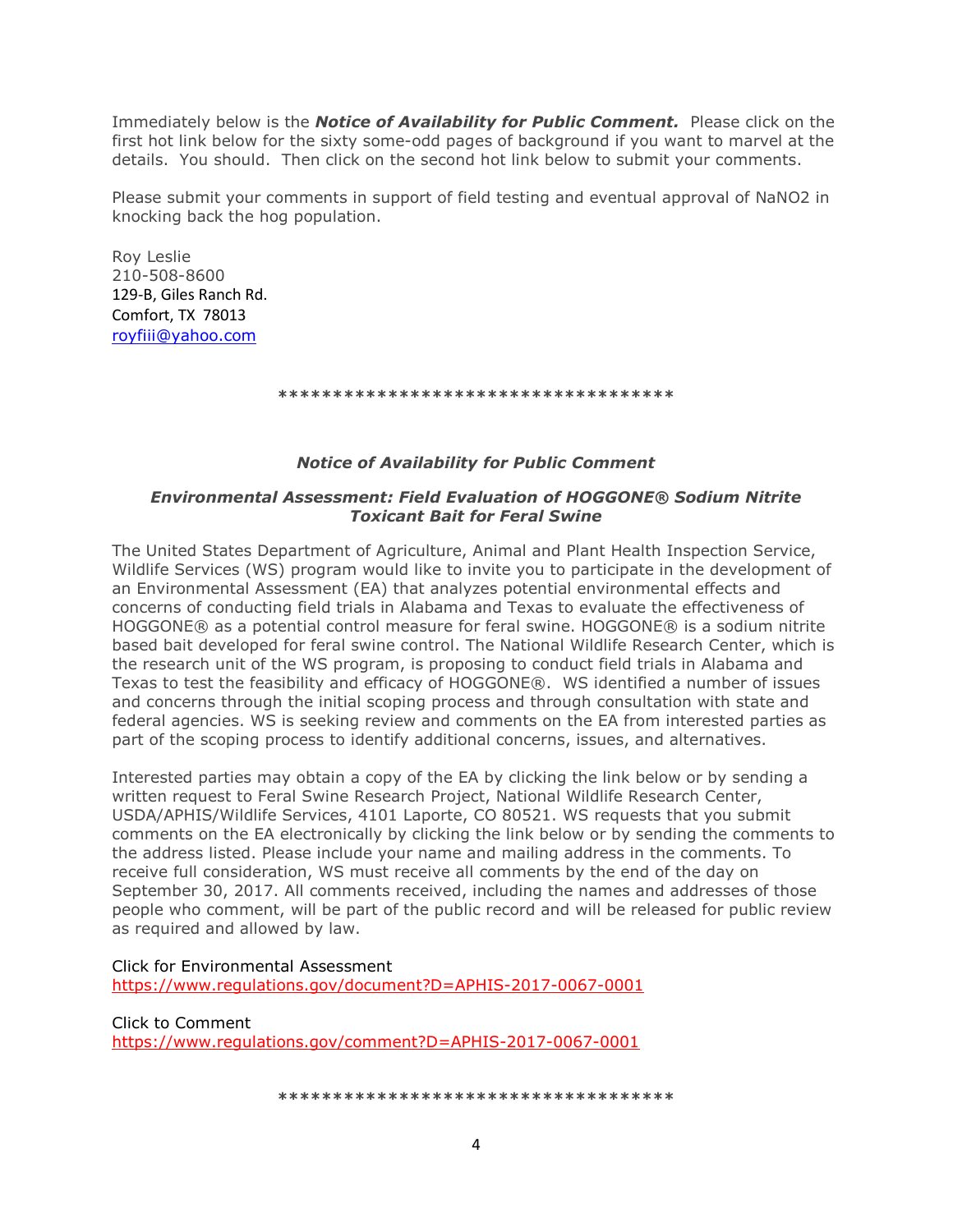Immediately below is the **Notice of Availability for Public Comment.** Please click on the first hot link below for the sixty some-odd pages of background if you want to marvel at the details. You should. Then click on the second hot link below to submit your comments.

Please submit your comments in support of field testing and eventual approval of NaNO2 in knocking back the hog population.

Roy Leslie 210-508-8600 129-B, Giles Ranch Rd. Comfort, TX 78013 royfiii@yahoo.com

\*\*\*\*\*\*\*\*\*\*\*\*\*\*\*\*\*\*\*\*\*\*\*\*\*\*\*\*\*\*\*\*\*\*\*\*

#### Notice of Availability for Public Comment

#### Environmental Assessment: Field Evaluation of HOGGONE® Sodium Nitrite Toxicant Bait for Feral Swine

The United States Department of Agriculture, Animal and Plant Health Inspection Service, Wildlife Services (WS) program would like to invite you to participate in the development of an Environmental Assessment (EA) that analyzes potential environmental effects and concerns of conducting field trials in Alabama and Texas to evaluate the effectiveness of HOGGONE® as a potential control measure for feral swine. HOGGONE® is a sodium nitrite based bait developed for feral swine control. The National Wildlife Research Center, which is the research unit of the WS program, is proposing to conduct field trials in Alabama and Texas to test the feasibility and efficacy of HOGGONE®. WS identified a number of issues and concerns through the initial scoping process and through consultation with state and federal agencies. WS is seeking review and comments on the EA from interested parties as part of the scoping process to identify additional concerns, issues, and alternatives.

Interested parties may obtain a copy of the EA by clicking the link below or by sending a written request to Feral Swine Research Project, National Wildlife Research Center, USDA/APHIS/Wildlife Services, 4101 Laporte, CO 80521. WS requests that you submit comments on the EA electronically by clicking the link below or by sending the comments to the address listed. Please include your name and mailing address in the comments. To receive full consideration, WS must receive all comments by the end of the day on September 30, 2017. All comments received, including the names and addresses of those people who comment, will be part of the public record and will be released for public review as required and allowed by law.

Click for Environmental Assessment https://www.regulations.gov/document?D=APHIS-2017-0067-0001

Click to Comment https://www.regulations.gov/comment?D=APHIS-2017-0067-0001

\*\*\*\*\*\*\*\*\*\*\*\*\*\*\*\*\*\*\*\*\*\*\*\*\*\*\*\*\*\*